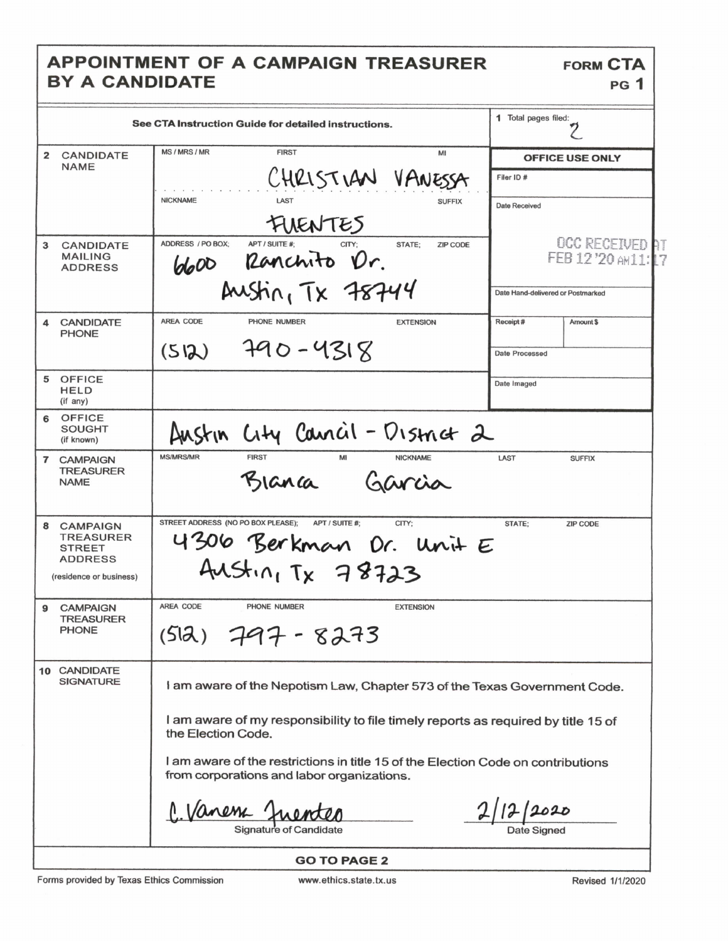## APPOINTMENT OF A CAMPAIGN TREASURER BY A CANDIDATE

|                                                                                                        | See CTA Instruction Guide for detailed instructions.                                                                                                           | 1 Total pages filed:                  |  |
|--------------------------------------------------------------------------------------------------------|----------------------------------------------------------------------------------------------------------------------------------------------------------------|---------------------------------------|--|
| $\overline{2}$<br><b>CANDIDATE</b>                                                                     | MS / MRS / MR<br><b>FIRST</b><br>MI                                                                                                                            | <b>OFFICE USE ONLY</b>                |  |
| <b>NAME</b>                                                                                            | CHRISTIAN VANESSA                                                                                                                                              | Filer ID#                             |  |
|                                                                                                        | <b>NICKNAME</b><br>LAST<br><b>SUFFIX</b>                                                                                                                       | <b>Date Received</b>                  |  |
|                                                                                                        | FUENTES                                                                                                                                                        |                                       |  |
| 3<br><b>CANDIDATE</b><br><b>MAILING</b><br><b>ADDRESS</b>                                              | ADDRESS / PO BOX:<br>APT / SUITE #:<br>CITY:<br>STATE:<br>ZIP CODE<br>6600 Ranchito Dr.                                                                        | OCC RECEIVED AT<br>FEB 12'20 ANT1: 17 |  |
|                                                                                                        | Austin, TX 78744                                                                                                                                               | Date Hand-delivered or Postmarked     |  |
| <b>CANDIDATE</b><br><b>PHONE</b>                                                                       | AREA CODE<br>PHONE NUMBER<br><b>EXTENSION</b>                                                                                                                  | Receipt#<br>Amount \$                 |  |
|                                                                                                        | $790 - 4318$<br>(512)                                                                                                                                          | <b>Date Processed</b>                 |  |
| OFFICE<br>5<br>HELD<br>(if any)                                                                        |                                                                                                                                                                | Date Imaged                           |  |
| 6 OFFICE<br><b>SOUGHT</b><br>(if known)                                                                | Austin City Cancil - District 2                                                                                                                                |                                       |  |
| 7<br><b>CAMPAIGN</b><br><b>TREASURER</b><br><b>NAME</b>                                                | <b>MS/MRS/MR</b><br><b>FIRST</b><br>MI<br><b>NICKNAME</b><br>Garcia<br>Blanca                                                                                  | LAST<br><b>SUFFIX</b>                 |  |
| 8<br><b>CAMPAIGN</b><br><b>TREASURER</b><br><b>STREET</b><br><b>ADDRESS</b><br>(residence or business) | STREET ADDRESS (NO PO BOX PLEASE);<br>APT / SUITE #:<br>CITY:<br>4306 Berkman Dr. Unit E<br>$Ausin_1Tx$ 78723                                                  | STATE;<br><b>ZIP CODE</b>             |  |
| <b>CAMPAIGN</b><br>9<br><b>TREASURER</b><br><b>PHONE</b>                                               | AREA CODE<br>PHONE NUMBER<br><b>EXTENSION</b><br>$(512)$ 797 - 8273                                                                                            |                                       |  |
| 10 CANDIDATE<br><b>SIGNATURE</b>                                                                       | I am aware of the Nepotism Law, Chapter 573 of the Texas Government Code.<br>I am aware of my responsibility to file timely reports as required by title 15 of |                                       |  |
|                                                                                                        | the Election Code.<br>I am aware of the restrictions in title 15 of the Election Code on contributions<br>from corporations and labor organizations.           |                                       |  |
|                                                                                                        |                                                                                                                                                                |                                       |  |
|                                                                                                        | <b>GO TO PAGE 2</b>                                                                                                                                            |                                       |  |

Forms provided by Texas Ethics Commission

Revised 1/1/2020